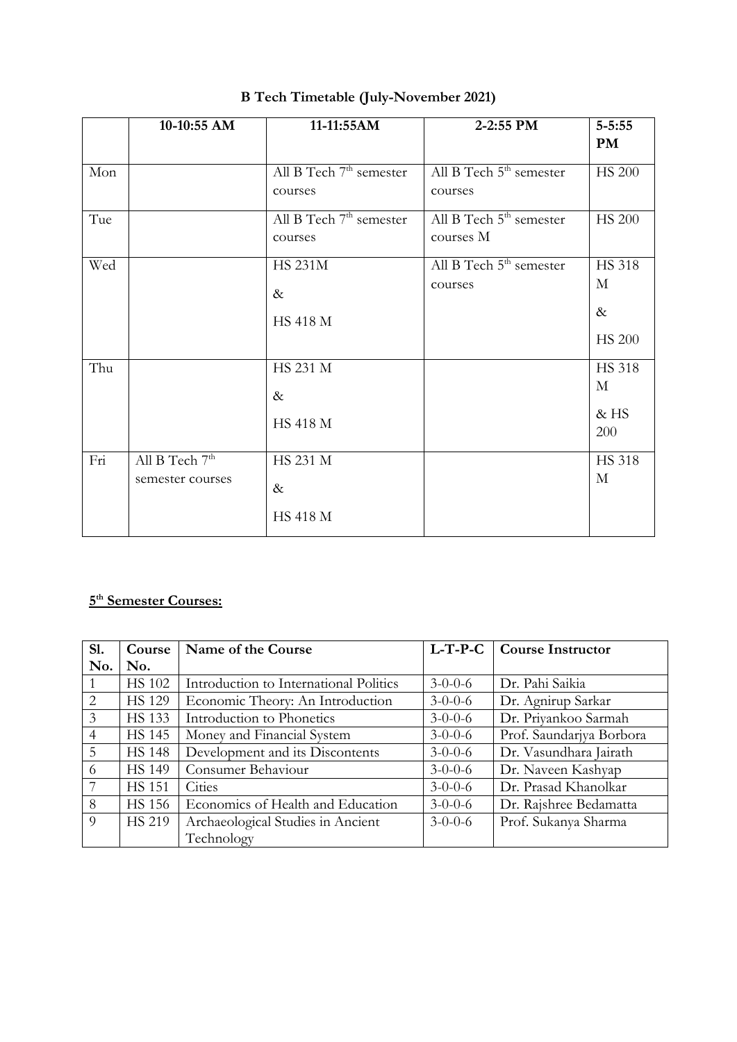|     | 10-10:55 AM                          | 11-11:55AM                                     | 2-2:55 PM                                        | $5 - 5:55$<br>PM                            |
|-----|--------------------------------------|------------------------------------------------|--------------------------------------------------|---------------------------------------------|
| Mon |                                      | All B Tech $7th$ semester<br>courses           | All B Tech 5 <sup>th</sup> semester<br>courses   | <b>HS 200</b>                               |
| Tue |                                      | All B Tech 7 <sup>th</sup> semester<br>courses | All B Tech 5 <sup>th</sup> semester<br>courses M | <b>HS 200</b>                               |
| Wed |                                      | <b>HS 231M</b><br>$\&$<br><b>HS 418 M</b>      | All B Tech 5 <sup>th</sup> semester<br>courses   | <b>HS 318</b><br>М<br>$\&$<br><b>HS 200</b> |
| Thu |                                      | HS 231 M<br>$\&$<br><b>HS 418 M</b>            |                                                  | <b>HS 318</b><br>М<br>&HS<br>200            |
| Fri | All B Tech $7th$<br>semester courses | HS 231 M<br>$\&$<br><b>HS 418 M</b>            |                                                  | <b>HS 318</b><br>$\mathbf{M}$               |

## **B Tech Timetable (July-November 2021)**

#### **5 th Semester Courses:**

| <b>S1.</b>     | Course        | Name of the Course                     | $L$ -T-P-C      | <b>Course Instructor</b> |
|----------------|---------------|----------------------------------------|-----------------|--------------------------|
| No.            | No.           |                                        |                 |                          |
|                | <b>HS 102</b> | Introduction to International Politics | $3 - 0 - 0 - 6$ | Dr. Pahi Saikia          |
| $\mathcal{L}$  | <b>HS 129</b> | Economic Theory: An Introduction       | $3 - 0 - 0 - 6$ | Dr. Agnirup Sarkar       |
| 3              | <b>HS</b> 133 | Introduction to Phonetics              | $3-0-0-6$       | Dr. Priyankoo Sarmah     |
| $\overline{4}$ | <b>HS 145</b> | Money and Financial System             | $3 - 0 - 0 - 6$ | Prof. Saundarjya Borbora |
| 5              | <b>HS 148</b> | Development and its Discontents        | $3 - 0 - 0 - 6$ | Dr. Vasundhara Jairath   |
| 6              | <b>HS 149</b> | Consumer Behaviour                     | $3 - 0 - 0 - 6$ | Dr. Naveen Kashyap       |
| 7              | <b>HS</b> 151 | Cities                                 | $3 - 0 - 0 - 6$ | Dr. Prasad Khanolkar     |
| 8              | <b>HS 156</b> | Economics of Health and Education      | $3 - 0 - 0 - 6$ | Dr. Rajshree Bedamatta   |
| $\overline{9}$ | <b>HS 219</b> | Archaeological Studies in Ancient      | $3 - 0 - 0 - 6$ | Prof. Sukanya Sharma     |
|                |               | Technology                             |                 |                          |